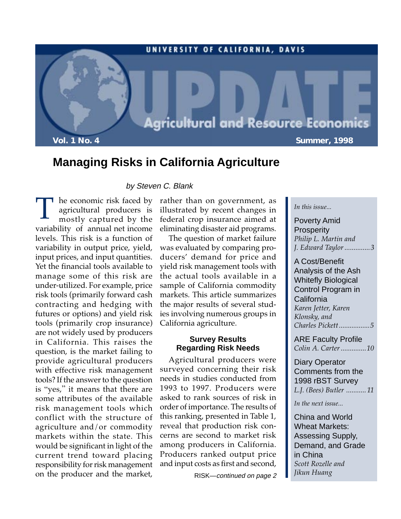

## **Managing Risks in California Agriculture**

#### by Steven C. Blank

T he economic risk faced by agricultural producers is mostly captured by the agricultural producers is variability of annual net income levels. This risk is a function of variability in output price, yield, input prices, and input quantities. Yet the financial tools available to manage some of this risk are under-utilized. For example, price risk tools (primarily forward cash contracting and hedging with futures or options) and yield risk tools (primarily crop insurance) are not widely used by producers in California. This raises the question, is the market failing to provide agricultural producers with effective risk management tools? If the answer to the question is "yes," it means that there are some attributes of the available risk management tools which conflict with the structure of agriculture and/or commodity markets within the state. This would be significant in light of the current trend toward placing responsibility for risk management on the producer and the market,

rather than on government, as illustrated by recent changes in federal crop insurance aimed at eliminating disaster aid programs.

The question of market failure was evaluated by comparing producers' demand for price and yield risk management tools with the actual tools available in a sample of California commodity markets. This article summarizes the major results of several studies involving numerous groups in California agriculture.

## **Survey Results Regarding Risk Needs**

Agricultural producers were surveyed concerning their risk needs in studies conducted from 1993 to 1997. Producers were asked to rank sources of risk in order of importance. The results of this ranking, presented in Table 1, reveal that production risk concerns are second to market risk among producers in California. Producers ranked output price and input costs as first and second,

RISK—continued on page 2

#### *In this issue...*

Poverty Amid **Prosperity** *Philip L. Martin and J. Edward Taylor ..............3*

A Cost/Benefit Analysis of the Ash Whitefly Biological Control Program in **California** *Karen Jetter, Karen Klonsky, and Charles Pickett.................5*

ARE Faculty Profile *Colin A. Carter ..............10*

## Diary Operator Comments from the 1998 rBST Survey *L.J. (Bees) Butler ........... 11*

*In the next issue...*

China and World Wheat Markets: Assessing Supply, Demand, and Grade in China *Scott Rozelle and Jikun Huang*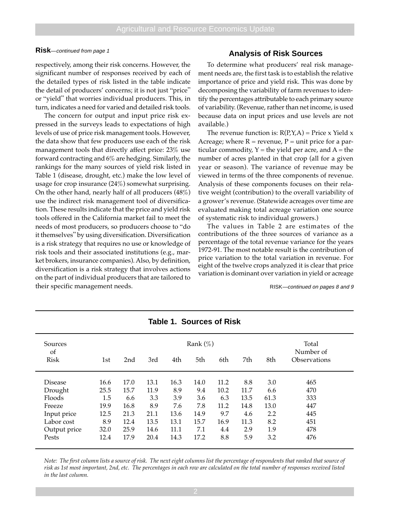#### **Risk**—continued from page 1

respectively, among their risk concerns. However, the significant number of responses received by each of the detailed types of risk listed in the table indicate the detail of producers' concerns; it is not just "price" or "yield" that worries individual producers. This, in turn, indicates a need for varied and detailed risk tools.

The concern for output and input price risk expressed in the surveys leads to expectations of high levels of use of price risk management tools. However, the data show that few producers use each of the risk management tools that directly affect price: 23% use forward contracting and 6% are hedging. Similarly, the rankings for the many sources of yield risk listed in Table 1 (disease, drought, etc.) make the low level of usage for crop insurance (24%) somewhat surprising. On the other hand, nearly half of all producers (48%) use the indirect risk management tool of diversification. These results indicate that the price and yield risk tools offered in the California market fail to meet the needs of most producers, so producers choose to "do it themselves" by using diversification. Diversification is a risk strategy that requires no use or knowledge of risk tools and their associated institutions (e.g., market brokers, insurance companies). Also, by definition, diversification is a risk strategy that involves actions on the part of individual producers that are tailored to their specific management needs.

#### **Analysis of Risk Sources**

To determine what producers' real risk management needs are, the first task is to establish the relative importance of price and yield risk. This was done by decomposing the variability of farm revenues to identify the percentages attributable to each primary source of variability. (Revenue, rather than net income, is used because data on input prices and use levels are not available.)

The revenue function is:  $R(P, Y, A)$  = Price x Yield x Acreage; where  $R =$  revenue,  $P =$  unit price for a particular commodity,  $Y =$  the yield per acre, and  $A =$  the number of acres planted in that crop (all for a given year or season). The variance of revenue may be viewed in terms of the three components of revenue. Analysis of these components focuses on their relative weight (contribution) to the overall variability of a grower's revenue. (Statewide acreages over time are evaluated making total acreage variation one source of systematic risk to individual growers.)

The values in Table 2 are estimates of the contributions of the three sources of variance as a percentage of the total revenue variance for the years 1972-91. The most notable result is the contribution of price variation to the total variation in revenue. For eight of the twelve crops analyzed it is clear that price variation is dominant over variation in yield or acreage

RISK—continued on pages 8 and 9

| Sources<br><sub>of</sub> | Rank $(\%)$ |      |      |      |      |      | Total<br>Number of |      |              |
|--------------------------|-------------|------|------|------|------|------|--------------------|------|--------------|
| Risk                     | 1st         | 2nd  | 3rd  | 4th  | 5th  | 6th  | 7th                | 8th  | Observations |
|                          |             |      |      |      |      |      |                    |      |              |
| <b>Disease</b>           | 16.6        | 17.0 | 13.1 | 16.3 | 14.0 | 11.2 | 8.8                | 3.0  | 465          |
| Drought                  | 25.5        | 15.7 | 11.9 | 8.9  | 9.4  | 10.2 | 11.7               | 6.6  | 470          |
| Floods                   | 1.5         | 6.6  | 3.3  | 3.9  | 3.6  | 6.3  | 13.5               | 61.3 | 333          |
| Freeze                   | 19.9        | 16.8 | 8.9  | 7.6  | 7.8  | 11.2 | 14.8               | 13.0 | 447          |
| Input price              | 12.5        | 21.3 | 21.1 | 13.6 | 14.9 | 9.7  | 4.6                | 2.2  | 445          |
| Labor cost               | 8.9         | 12.4 | 13.5 | 13.1 | 15.7 | 16.9 | 11.3               | 8.2  | 451          |
| Output price             | 32.0        | 25.9 | 14.6 | 11.1 | 7.1  | 4.4  | 2.9                | 1.9  | 478          |
| Pests                    | 12.4        | 17.9 | 20.4 | 14.3 | 17.2 | 8.8  | 5.9                | 3.2  | 476          |

## **Table 1. Sources of Risk**

*Note: The first column lists a source of risk. The next eight columns list the percentage of respondents that ranked that source of risk as 1st most important, 2nd, etc. The percentages in each row are calculated on the total number of responses received listed in the last column.*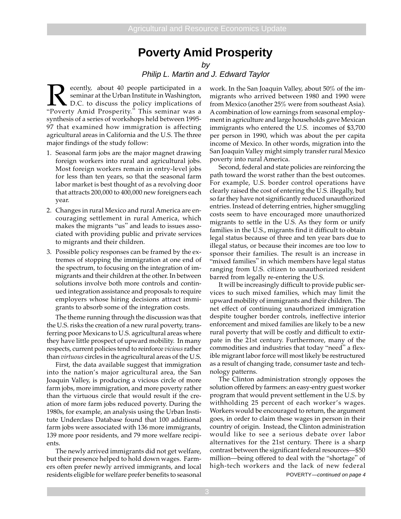## **Poverty Amid Prosperity**

by

## Philip L. Martin and J. Edward Taylor

**Recently, about 40 people participated in a** seminar at the Urban Institute in Washington, D.C. to discuss the policy implications of "Poverty Amid Prosperity." This seminar was a seminar at the Urban Institute in Washington, D.C. to discuss the policy implications of synthesis of a series of workshops held between 1995- 97 that examined how immigration is affecting agricultural areas in California and the U.S. The three major findings of the study follow:

- 1. Seasonal farm jobs are the major magnet drawing foreign workers into rural and agricultural jobs. Most foreign workers remain in entry-level jobs for less than ten years, so that the seasonal farm labor market is best thought of as a revolving door that attracts 200,000 to 400,000 new foreigners each year.
- 2. Changes in rural Mexico and rural America are encouraging settlement in rural America, which makes the migrants "us" and leads to issues associated with providing public and private services to migrants and their children.
- 3. Possible policy responses can be framed by the extremes of stopping the immigration at one end of the spectrum, to focusing on the integration of immigrants and their children at the other. In between solutions involve both more controls and continued integration assistance and proposals to require employers whose hiring decisions attract immigrants to absorb some of the integration costs.

The theme running through the discussion was that the U.S. risks the creation of a new rural poverty, transferring poor Mexicans to U.S. agricultural areas where they have little prospect of upward mobility. In many respects, current policies tend to reinforce *vicious* rather than *virtuous* circles in the agricultural areas of the U.S.

First, the data available suggest that immigration into the nation's major agricultural area, the San Joaquin Valley, is producing a vicious circle of more farm jobs, more immigration, and more poverty rather than the virtuous circle that would result if the creation of more farm jobs reduced poverty. During the 1980s, for example, an analysis using the Urban Institute Underclass Database found that 100 additional farm jobs were associated with 136 more immigrants, 139 more poor residents, and 79 more welfare recipients.

The newly arrived immigrants did not get welfare, but their presence helped to hold down wages. Farmers often prefer newly arrived immigrants, and local residents eligible for welfare prefer benefits to seasonal POVERTY—continued on page 4

work. In the San Joaquin Valley, about 50% of the immigrants who arrived between 1980 and 1990 were from Mexico (another 25% were from southeast Asia). A combination of low earnings from seasonal employment in agriculture and large households gave Mexican immigrants who entered the U.S. incomes of \$3,700 per person in 1990, which was about the per capita income of Mexico. In other words, migration into the San Joaquin Valley might simply transfer rural Mexico poverty into rural America.

Second, federal and state policies are reinforcing the path toward the worst rather than the best outcomes. For example, U.S. border control operations have clearly raised the cost of entering the U.S. illegally, but so far they have not significantly reduced unauthorized entries. Instead of deterring entries, higher smuggling costs seem to have encouraged more unauthorized migrants to settle in the U.S. As they form or unify families in the U.S., migrants find it difficult to obtain legal status because of three and ten year bars due to illegal status, or because their incomes are too low to sponsor their families. The result is an increase in "mixed families" in which members have legal status ranging from U.S. citizen to unauthorized resident barred from legally re-entering the U.S.

It will be increasingly difficult to provide public services to such mixed families, which may limit the upward mobility of immigrants and their children. The net effect of continuing unauthorized immigration despite tougher border controls, ineffective interior enforcement and mixed families are likely to be a new rural poverty that will be costly and difficult to extirpate in the 21st century. Furthermore, many of the commodities and industries that today "need" a flexible migrant labor force will most likely be restructured as a result of changing trade, consumer taste and technology patterns.

The Clinton administration strongly opposes the solution offered by farmers: an easy-entry guest worker program that would prevent settlement in the U.S. by withholding 25 percent of each worker's wages. Workers would be encouraged to return, the argument goes, in order to claim these wages in person in their country of origin. Instead, the Clinton administration would like to see a serious debate over labor alternatives for the 21st century. There is a sharp contrast between the significant federal resources—\$50 million—being offered to deal with the "shortage" of high-tech workers and the lack of new federal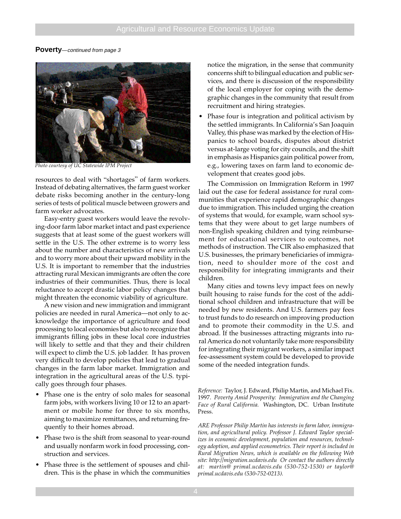#### **Poverty**—continued from page 3



*Photo courtesy of UC Statewide IPM Project*

resources to deal with "shortages" of farm workers. Instead of debating alternatives, the farm guest worker debate risks becoming another in the century-long series of tests of political muscle between growers and farm worker advocates.

Easy-entry guest workers would leave the revolving-door farm labor market intact and past experience suggests that at least some of the guest workers will settle in the U.S. The other extreme is to worry less about the number and characteristics of new arrivals and to worry more about their upward mobility in the U.S. It is important to remember that the industries attracting rural Mexican immigrants are often the core industries of their communities. Thus, there is local reluctance to accept drastic labor policy changes that might threaten the economic viability of agriculture.

A new vision and new immigration and immigrant policies are needed in rural America—not only to acknowledge the importance of agriculture and food processing to local economies but also to recognize that immigrants filling jobs in these local core industries will likely to settle and that they and their children will expect to climb the U.S. job ladder. It has proven very difficult to develop policies that lead to gradual changes in the farm labor market. Immigration and integration in the agricultural areas of the U.S. typically goes through four phases.

- Phase one is the entry of solo males for seasonal farm jobs, with workers living 10 or 12 to an apartment or mobile home for three to six months, aiming to maximize remittances, and returning frequently to their homes abroad.
- Phase two is the shift from seasonal to year-round and usually nonfarm work in food processing, construction and services.
- Phase three is the settlement of spouses and children. This is the phase in which the communities

notice the migration, in the sense that community concerns shift to bilingual education and public services, and there is discussion of the responsibility of the local employer for coping with the demographic changes in the community that result from recruitment and hiring strategies.

Phase four is integration and political activism by the settled immigrants. In California's San Joaquin Valley, this phase was marked by the election of Hispanics to school boards, disputes about district versus at-large voting for city councils, and the shift in emphasis as Hispanics gain political power from, e.g., lowering taxes on farm land to economic development that creates good jobs.

The Commission on Immigration Reform in 1997 laid out the case for federal assistance for rural communities that experience rapid demographic changes due to immigration. This included urging the creation of systems that would, for example, warn school systems that they were about to get large numbers of non-English speaking children and tying reimbursement for educational services to outcomes, not methods of instruction. The CIR also emphasized that U.S. businesses, the primary beneficiaries of immigration, need to shoulder more of the cost and responsibility for integrating immigrants and their children.

Many cities and towns levy impact fees on newly built housing to raise funds for the cost of the additional school children and infrastructure that will be needed by new residents. And U.S. farmers pay fees to trust funds to do research on improving production and to promote their commodity in the U.S. and abroad. If the businesses attracting migrants into rural America do not voluntarily take more responsibility for integrating their migrant workers, a similar impact fee-assessment system could be developed to provide some of the needed integration funds.

*Reference:* Taylor, J. Edward, Philip Martin, and Michael Fix. 1997. *Poverty Amid Prosperity: Immigration and the Changing Face of Rural California.* Washington, DC. Urban Institute Press.

*ARE Professor Philip Martin has interests in farm labor, immigration, and agricultural policy. Professor J. Edward Taylor specializes in economic development, population and resources, technology adoption, and applied econometrics. Their report is included in Rural Migration News, which is available on the following Web site: http://migration.ucdavis.edu Or contact the authors directly at: martin@ primal.ucdavis.edu (530-752-1530) or taylor@ primal.ucdavis.edu (530-752-0213).*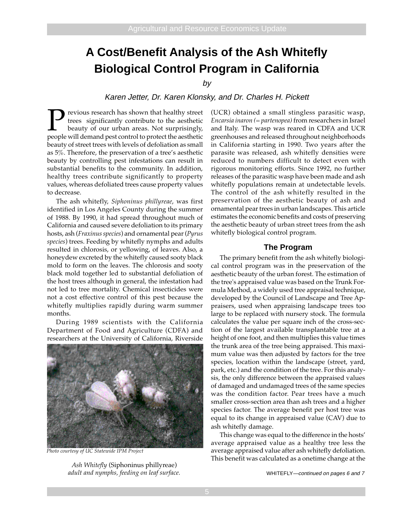# **A Cost/Benefit Analysis of the Ash Whitefly Biological Control Program in California**

by

Karen Jetter, Dr. Karen Klonsky, and Dr. Charles H. Pickett

**P** revious research has shown that healthy street trees significantly contribute to the aesthetic beauty of our urban areas. Not surprisingly, people will demand pest control to protect the aesthetic trees significantly contribute to the aesthetic beauty of our urban areas. Not surprisingly, people will demand pest control to protect the aesthetic beauty of street trees with levels of defoliation as small as 5%. Therefore, the preservation of a tree's aesthetic beauty by controlling pest infestations can result in substantial benefits to the community. In addition, healthy trees contribute significantly to property values, whereas defoliated trees cause property values to decrease.

The ash whitefly, *Siphoninus phillyreae*, was first identified in Los Angeles County during the summer of 1988. By 1990, it had spread throughout much of California and caused severe defoliation to its primary hosts, ash (*Fraxinus species*) and ornamental pear (*Pyrus species*) trees. Feeding by whitefly nymphs and adults resulted in chlorosis, or yellowing, of leaves. Also, a honeydew excreted by the whitefly caused sooty black mold to form on the leaves. The chlorosis and sooty black mold together led to substantial defoliation of the host trees although in general, the infestation had not led to tree mortality. Chemical insecticides were not a cost effective control of this pest because the whitefly multiplies rapidly during warm summer months.

During 1989 scientists with the California Department of Food and Agriculture (CDFA) and researchers at the University of California, Riverside



*Photo courtesy of UC Statewide IPM Project*

*adult and nymphs, feeding on leaf surface.*

(UCR) obtained a small stingless parasitic wasp, *Encarsia inaron (= partenopea)* from researchers in Israel and Italy. The wasp was reared in CDFA and UCR greenhouses and released throughout neighborhoods in California starting in 1990. Two years after the parasite was released, ash whitefly densities were reduced to numbers difficult to detect even with rigorous monitoring efforts. Since 1992, no further releases of the parasitic wasp have been made and ash whitefly populations remain at undetectable levels. The control of the ash whitefly resulted in the preservation of the aesthetic beauty of ash and ornamental pear trees in urban landscapes. This article estimates the economic benefits and costs of preserving the aesthetic beauty of urban street trees from the ash whitefly biological control program.

#### **The Program**

The primary benefit from the ash whitefly biological control program was in the preservation of the aesthetic beauty of the urban forest. The estimation of the tree's appraised value was based on the Trunk Formula Method, a widely used tree appraisal technique, developed by the Council of Landscape and Tree Appraisers, used when appraising landscape trees too large to be replaced with nursery stock. The formula calculates the value per square inch of the cross-section of the largest available transplantable tree at a height of one foot, and then multiplies this value times the trunk area of the tree being appraised. This maximum value was then adjusted by factors for the tree species, location within the landscape (street, yard, park, etc.) and the condition of the tree. For this analysis, the only difference between the appraised values of damaged and undamaged trees of the same species was the condition factor. Pear trees have a much smaller cross-section area than ash trees and a higher species factor. The average benefit per host tree was equal to its change in appraised value (CAV) due to ash whitefly damage.

This change was equal to the difference in the hosts' average appraised value as a healthy tree less the average appraised value after ash whitefly defoliation. This benefit was calculated as a onetime change at the *Ash Whitefly* (Siphoninus phillyreae)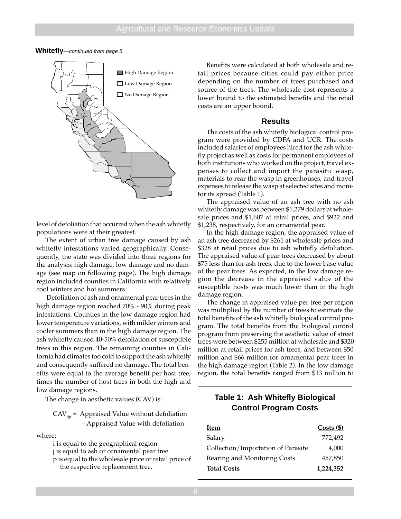#### **Whitefly**—continued from page 5



level of defoliation that occurred when the ash whitefly populations were at their greatest.

The extent of urban tree damage caused by ash whitefly infestations varied geographically. Consequently, the state was divided into three regions for the analysis: high damage, low damage and no damage (see map on following page). The high damage region included counties in California with relatively cool winters and hot summers.

 Defoliation of ash and ornamental pear trees in the high damage region reached 70% - 90% during peak infestations. Counties in the low damage region had lower temperature variations, with milder winters and cooler summers than in the high damage region. The ash whitefly caused 40-50% defoliation of susceptible trees in this region. The remaining counties in California had climates too cold to support the ash whitefly and consequently suffered no damage. The total benefits were equal to the average benefit per host tree, times the number of host trees in both the high and low damage regions.

The change in aesthetic values (CAV) is:

 $CAV_{\text{lin}}$  = Appraised Value without defoliation – Appraised Value with defoliation

where:

i is equal to the geographical region j is equal to ash or ornamental pear tree p is equal to the wholesale price or retail price of the respective replacement tree.

Benefits were calculated at both wholesale and retail prices because cities could pay either price depending on the number of trees purchased and source of the trees. The wholesale cost represents a lower bound to the estimated benefits and the retail costs are an upper bound.

#### **Results**

The costs of the ash whitefly biological control program were provided by CDFA and UCR. The costs included salaries of employees hired for the ash whitefly project as well as costs for permanent employees of both institutions who worked on the project, travel expenses to collect and import the parasitic wasp, materials to rear the wasp in greenhouses, and travel expenses to release the wasp at selected sites and monitor its spread (Table 1).

The appraised value of an ash tree with no ash whitefly damage was between \$1,279 dollars at wholesale prices and \$1,607 at retail prices, and \$922 and \$1,238, respectively, for an ornamental pear.

In the high damage region, the appraised value of an ash tree decreased by \$261 at wholesale prices and \$328 at retail prices due to ash whitefly defoliation. The appraised value of pear trees decreased by about \$75 less than for ash trees, due to the lower base value of the pear trees. As expected, in the low damage region the decrease in the appraised value of the susceptible hosts was much lower than in the high damage region.

The change in appraised value per tree per region was multiplied by the number of trees to estimate the total benefits of the ash whitefly biological control program. The total benefits from the biological control program from preserving the aesthetic value of street trees were between \$255 million at wholesale and \$320 million at retail prices for ash trees, and between \$50 million and \$66 million for ornamental pear trees in the high damage region (Table 2). In the low damage region, the total benefits ranged from \$13 million to

## **Table 1: Ash Whitefly Biological Control Program Costs**

| <b>Item</b>                        | $Costs$ (\$) |
|------------------------------------|--------------|
| Salary                             | 772.492      |
| Collection/Importation of Parasite | 4,000        |
| Rearing and Monitoring Costs       | 457,850      |
| <b>Total Costs</b>                 | 1,224,352    |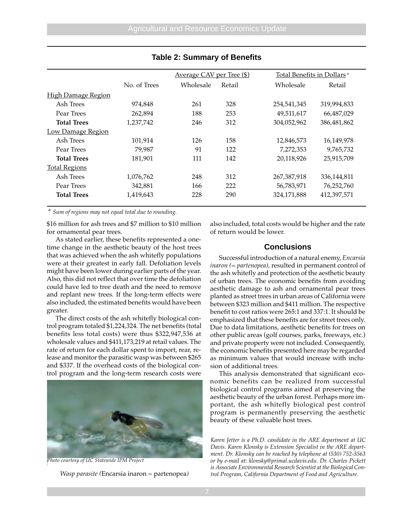|                           |              | Average CAV per Tree (\$) |        | Total Benefits in Dollars <sup>a</sup> |             |  |
|---------------------------|--------------|---------------------------|--------|----------------------------------------|-------------|--|
|                           | No. of Trees | Wholesale                 | Retail | Wholesale                              | Retail      |  |
| <b>High Damage Region</b> |              |                           |        |                                        |             |  |
| Ash Trees                 | 974,848      | 261                       | 328    | 254,541,345                            | 319,994,833 |  |
| Pear Trees                | 262,894      | 188                       | 253    | 49,511,617                             | 66,487,029  |  |
| <b>Total Trees</b>        | 1,237,742    | 246                       | 312    | 304,052,962                            | 386,481,862 |  |
| <b>Low Damage Region</b>  |              |                           |        |                                        |             |  |
| Ash Trees                 | 101,914      | 126                       | 158    | 12,846,573                             | 16,149,978  |  |
| Pear Trees                | 79,987       | 91                        | 122    | 7,272,353                              | 9,765,732   |  |
| <b>Total Trees</b>        | 181,901      | 111                       | 142    | 20,118,926                             | 25,915,709  |  |
| <b>Total Regions</b>      |              |                           |        |                                        |             |  |
| Ash Trees                 | 1,076,762    | 248                       | 312    | 267,387,918                            | 336,144,811 |  |
| Pear Trees                | 342,881      | 166                       | 222    | 56,783,971                             | 76,252,760  |  |
| <b>Total Trees</b>        | 1,419,643    | 228                       | 290    | 324,171,888                            | 412,397,571 |  |

## **Table 2: Summary of Benefits**

<sup>a</sup> *Sum of regions may not equal total due to rounding.*

\$16 million for ash trees and \$7 million to \$10 million for ornamental pear trees.

As stated earlier, these benefits represented a onetime change in the aesthetic beauty of the host trees that was achieved when the ash whitefly populations were at their greatest in early fall. Defoliation levels might have been lower during earlier parts of the year. Also, this did not reflect that over time the defoliation could have led to tree death and the need to remove and replant new trees. If the long-term effects were also included, the estimated benefits would have been greater.

The direct costs of the ash whitefly biological control program totaled \$1,224,324. The net benefits (total benefits less total costs) were thus \$322,947,536 at wholesale values and \$411,173,219 at retail values. The rate of return for each dollar spent to import, rear, release and monitor the parasitic wasp was between \$265 and \$337. If the overhead costs of the biological control program and the long-term research costs were



*Photo courtesy of UC Statewide IPM Project*

also included, total costs would be higher and the rate of return would be lower.

## **Conclusions**

Successful introduction of a natural enemy, *Encarsia inaron (= partenopea)*, resulted in permanent control of the ash whitefly and protection of the aesthetic beauty of urban trees. The economic benefits from avoiding aesthetic damage to ash and ornamental pear trees planted as street trees in urban areas of California were between \$323 million and \$411 million. The respective benefit to cost ratios were 265:1 and 337:1. It should be emphasized that these benefits are for street trees only. Due to data limitations, aesthetic benefits for trees on other public areas (golf courses, parks, freeways, etc.) and private property were not included. Consequently, the economic benefits presented here may be regarded as minimum values that would increase with inclusion of additional trees.

This analysis demonstrated that significant economic benefits can be realized from successful biological control programs aimed at preserving the aesthetic beauty of the urban forest. Perhaps more important, the ash whitefly biological pest control program is permanently preserving the aesthetic beauty of these valuable host trees.

*Karen Jetter is a Ph.D. candidate in the ARE department at UC Davis. Karen Klonsky is Extension Specialist in the ARE department. Dr. Klonsky can be reached by telephone at (530) 752-3563 or by e-mail at: klonsky@primal.ucdavis.edu. Dr. Charles Pickett is Associate Environmental Research Scientist at the Biological Con-Wasp parasite (*Encarsia inaron *=* partenopea*) trol Program, California Department of Food and Agriculture.*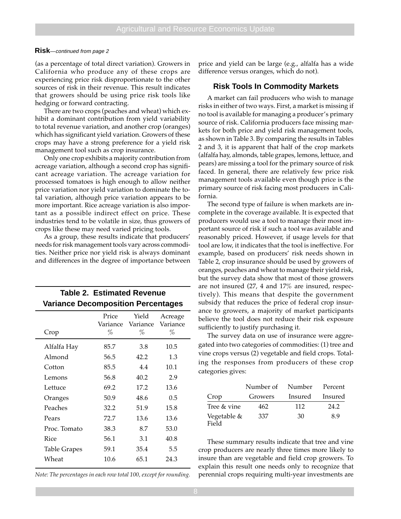#### **Risk**—continued from page 2

(as a percentage of total direct variation). Growers in California who produce any of these crops are experiencing price risk disproportionate to the other sources of risk in their revenue. This result indicates that growers should be using price risk tools like hedging or forward contracting.

There are two crops (peaches and wheat) which exhibit a dominant contribution from yield variability to total revenue variation, and another crop (oranges) which has significant yield variation. Growers of these crops may have a strong preference for a yield risk management tool such as crop insurance.

Only one crop exhibits a majority contribution from acreage variation, although a second crop has significant acreage variation. The acreage variation for processed tomatoes is high enough to allow neither price variation nor yield variation to dominate the total variation, although price variation appears to be more important. Rice acreage variation is also important as a possible indirect effect on price. These industries tend to be volatile in size, thus growers of crops like these may need varied pricing tools.

As a group, these results indicate that producers' needs for risk management tools vary across commodities. Neither price nor yield risk is always dominant and differences in the degree of importance between

**Table 2. Estimated Revenue**

| <b>Variance Decomposition Percentages</b> |                        |                        |                          |  |  |
|-------------------------------------------|------------------------|------------------------|--------------------------|--|--|
| Crop                                      | Price<br>Variance<br>% | Yield<br>Variance<br>% | Acreage<br>Variance<br>% |  |  |
| Alfalfa Hay                               | 85.7                   | 3.8                    | 10.5                     |  |  |
| Almond                                    | 56.5                   | 42.2                   | 1.3                      |  |  |
| Cotton                                    | 85.5                   | 4.4                    | 10.1                     |  |  |
| Lemons                                    | 56.8                   | 40.2                   | 2.9                      |  |  |
| Lettuce                                   | 69.2                   | 17.2                   | 13.6                     |  |  |
| Oranges                                   | 50.9                   | 48.6                   | 0.5                      |  |  |
| Peaches                                   | 32.2                   | 51.9                   | 15.8                     |  |  |
| Pears                                     | 72.7                   | 13.6                   | 13.6                     |  |  |
| Proc. Tomato                              | 38.3                   | 8.7                    | 53.0                     |  |  |
| Rice                                      | 56.1                   | 3.1                    | 40.8                     |  |  |
| <b>Table Grapes</b>                       | 59.1                   | 35.4                   | 5.5                      |  |  |
| Wheat                                     | 10.6                   | 65.1                   | 24.3                     |  |  |

price and yield can be large (e.g., alfalfa has a wide difference versus oranges, which do not).

#### **Risk Tools In Commodity Markets**

A market can fail producers who wish to manage risks in either of two ways. First, a market is missing if no tool is available for managing a producer's primary source of risk. California producers face missing markets for both price and yield risk management tools, as shown in Table 3. By comparing the results in Tables 2 and 3, it is apparent that half of the crop markets (alfalfa hay, almonds, table grapes, lemons, lettuce, and pears) are missing a tool for the primary source of risk faced. In general, there are relatively few price risk management tools available even though price is the primary source of risk facing most producers in California.

The second type of failure is when markets are incomplete in the coverage available. It is expected that producers would use a tool to manage their most important source of risk if such a tool was available and reasonably priced. However, if usage levels for that tool are low, it indicates that the tool is ineffective. For example, based on producers' risk needs shown in Table 2, crop insurance should be used by growers of oranges, peaches and wheat to manage their yield risk, but the survey data show that most of those growers are not insured (27, 4 and 17% are insured, respectively). This means that despite the government subsidy that reduces the price of federal crop insurance to growers, a majority of market participants believe the tool does not reduce their risk exposure sufficiently to justify purchasing it.

The survey data on use of insurance were aggregated into two categories of commodities: (1) tree and vine crops versus (2) vegetable and field crops. Totaling the responses from producers of these crop categories gives:

|                      | Number of Number Percent |                 |      |
|----------------------|--------------------------|-----------------|------|
| Crop                 | Growers                  | Insured Insured |      |
| Tree & vine          | 462                      | 112             | 24.2 |
| Vegetable &<br>Field | 337                      | 30              | 89   |

These summary results indicate that tree and vine crop producers are nearly three times more likely to insure than are vegetable and field crop growers. To explain this result one needs only to recognize that *Note: The percentages in each row total 100, except for rounding.* perennial crops requiring multi-year investments are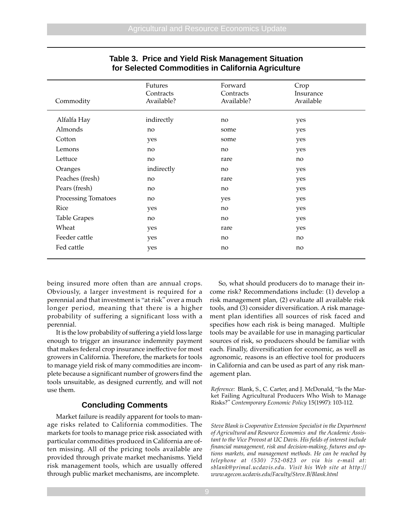| Commodity           | Futures<br>Contracts<br>Available? | Forward<br>Contracts<br>Available? | Crop<br>Insurance<br>Available |  |
|---------------------|------------------------------------|------------------------------------|--------------------------------|--|
| Alfalfa Hay         | indirectly                         | no                                 | yes                            |  |
| Almonds             | no                                 | some                               | yes                            |  |
| Cotton              | yes                                | some                               | yes                            |  |
| Lemons              | no                                 | no                                 | yes                            |  |
| Lettuce             | no                                 | rare                               | no                             |  |
| Oranges             | indirectly                         | no                                 | yes                            |  |
| Peaches (fresh)     | no                                 | rare                               | yes                            |  |
| Pears (fresh)       | no                                 | no                                 | yes                            |  |
| Processing Tomatoes | no                                 | yes                                | yes                            |  |
| Rice                | yes                                | no                                 | yes                            |  |
| <b>Table Grapes</b> | no                                 | no                                 | yes                            |  |
| Wheat               | yes                                | rare                               | yes                            |  |
| Feeder cattle       | yes                                | no                                 | no                             |  |
| Fed cattle          | yes                                | no                                 | no                             |  |
|                     |                                    |                                    |                                |  |

## **Table 3. Price and Yield Risk Management Situation for Selected Commodities in California Agriculture**

being insured more often than are annual crops. Obviously, a larger investment is required for a perennial and that investment is "at risk" over a much longer period, meaning that there is a higher probability of suffering a significant loss with a perennial.

It is the low probability of suffering a yield loss large enough to trigger an insurance indemnity payment that makes federal crop insurance ineffective for most growers in California. Therefore, the markets for tools to manage yield risk of many commodities are incomplete because a significant number of growers find the tools unsuitable, as designed currently, and will not use them.

### **Concluding Comments**

Market failure is readily apparent for tools to manage risks related to California commodities. The markets for tools to manage price risk associated with particular commodities produced in California are often missing. All of the pricing tools available are provided through private market mechanisms. Yield risk management tools, which are usually offered through public market mechanisms, are incomplete.

So, what should producers do to manage their income risk? Recommendations include: (1) develop a risk management plan, (2) evaluate all available risk tools, and (3) consider diversification. A risk management plan identifies all sources of risk faced and specifies how each risk is being managed. Multiple tools may be available for use in managing particular sources of risk, so producers should be familiar with each. Finally, diversification for economic, as well as agronomic, reasons is an effective tool for producers in California and can be used as part of any risk management plan.

*Reference:* Blank, S., C. Carter, and J. McDonald, "Is the Market Failing Agricultural Producers Who Wish to Manage Risks?" *Contemporary Economic Policy* 15(1997): 103-112*.*

*Steve Blank is Cooperative Extension Specialist in the Department of Agricultural and Resource Economics and the Academic Assistant to the Vice Provost at UC Davis. His fields of interest include financial management, risk and decision-making, futures and options markets, and management methods. He can be reached by telephone at (530) 752-0823 or via his e-mail at: sblank@primal.ucdavis.edu. Visit his Web site at http:// www.agecon.ucdavis.edu/Faculty/Steve.B/Blank.html*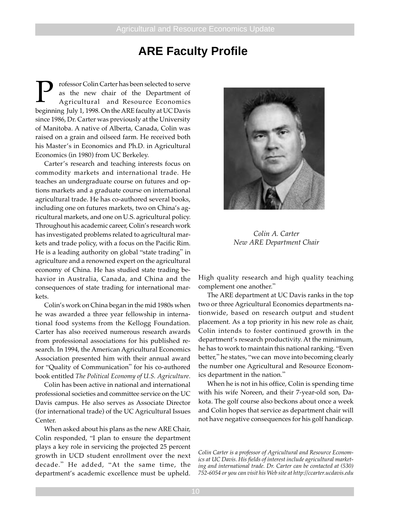## **ARE Faculty Profile**

**P** rofessor Colin Carter has been selected to serve<br>as the new chair of the Department of<br>Agricultural and Resource Economics as the new chair of the Department of Agricultural and Resource Economics beginning July 1, 1998. On the ARE faculty at UC Davis since 1986, Dr. Carter was previously at the University of Manitoba. A native of Alberta, Canada, Colin was raised on a grain and oilseed farm. He received both his Master's in Economics and Ph.D. in Agricultural Economics (in 1980) from UC Berkeley.

Carter's research and teaching interests focus on commodity markets and international trade. He teaches an undergraduate course on futures and options markets and a graduate course on international agricultural trade. He has co-authored several books, including one on futures markets, two on China's agricultural markets, and one on U.S. agricultural policy. Throughout his academic career, Colin's research work has investigated problems related to agricultural markets and trade policy, with a focus on the Pacific Rim. He is a leading authority on global "state trading" in agriculture and a renowned expert on the agricultural economy of China. He has studied state trading behavior in Australia, Canada, and China and the consequences of state trading for international markets.

Colin's work on China began in the mid 1980s when he was awarded a three year fellowship in international food systems from the Kellogg Foundation. Carter has also received numerous research awards from professional associations for his published research. In 1994, the American Agricultural Economics Association presented him with their annual award for "Quality of Communication" for his co-authored book entitled *The Political Economy of U.S. Agriculture*.

Colin has been active in national and international professional societies and committee service on the UC Davis campus. He also serves as Associate Director (for international trade) of the UC Agricultural Issues Center.

When asked about his plans as the new ARE Chair, Colin responded, "I plan to ensure the department plays a key role in servicing the projected 25 percent growth in UCD student enrollment over the next decade." He added, "At the same time, the department's academic excellence must be upheld.



*Colin A. Carter New ARE Department Chair*

High quality research and high quality teaching complement one another."

The ARE department at UC Davis ranks in the top two or three Agricultural Economics departments nationwide, based on research output and student placement. As a top priority in his new role as chair, Colin intends to foster continued growth in the department's research productivity. At the minimum, he has to work to maintain this national ranking. "Even better," he states, "we can move into becoming clearly the number one Agricultural and Resource Economics department in the nation."

When he is not in his office, Colin is spending time with his wife Noreen, and their 7-year-old son, Dakota. The golf course also beckons about once a week and Colin hopes that service as department chair will not have negative consequences for his golf handicap.

*Colin Carter is a professor of Agricultural and Resource Economics at UC Davis. His fields of interest include agricultural marketing and international trade. Dr. Carter can be contacted at (530) 752-6054 or you can visit his Web site at http://ccarter.ucdavis.edu*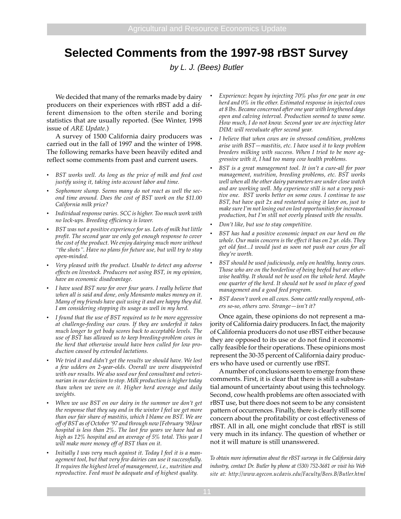# **Selected Comments from the 1997-98 rBST Survey**

by L. J. (Bees) Butler

We decided that many of the remarks made by dairy producers on their experiences with rBST add a different dimension to the often sterile and boring statistics that are usually reported. (See Winter, 1998 issue of *ARE Update*.)

A survey of 1500 California dairy producers was carried out in the fall of 1997 and the winter of 1998. The following remarks have been heavily edited and reflect some comments from past and current users.

- *• BST works well. As long as the price of milk and feed cost justify using it, taking into account labor and time.*
- *• Sophomore slump. Seems many do not react as well the second time around. Does the cost of BST work on the \$11.00 California milk price?*
- *• Individual response varies. SCC is higher. Too much work with no lock-ups. Breeding efficiency is lower.*
- *• BST was not a positive experience for us. Lots of milk but little profit. The second year we only got enough response to cover the cost of the product. We enjoy dairying much more without "the shots". Have no plans for future use, but will try to stay open-minded.*
- *• Very pleased with the product. Unable to detect any adverse effects on livestock. Producers not using BST, in my opinion, have an economic disadvantage.*
- *• I have used BST now for over four years. I really believe that when all is said and done, only Monsanto makes money on it. Many of my friends have quit using it and are happy they did. I am considering stopping its usage as well in my herd.*
- *• I found that the use of BST required us to be more aggressive at challenge-feeding our cows. If they are underfed it takes much longer to get body scores back to acceptable levels. The use of BST has allowed us to keep breeding-problem cows in the herd that otherwise would have been culled for low production caused by extended lactations.*
- *• We tried it and didn't get the results we should have. We lost a few udders on 2-year-olds. Overall we were disappointed with our results. We also used our feed consultant and veterinarian in our decision to stop. Milk production is higher today than when we were on it. Higher herd average and daily weights.*
- *• When we use BST on our dairy in the summer we don't get the response that they say and in the winter I feel we get more than our fair share of mastitis, which I blame on BST. We are off of BST as of October '97 and through now [February '98]our hospital is less than 2%. The last few years we have had as high as 12% hospital and an average of 5% total. This year I will make more money off of BST than on it.*
- *• Initially I was very much against it. Today I feel it is a management tool, but that very few dairies can use it successfully. It requires the highest level of management, i.e., nutrition and reproductive. Feed must be adequate and of highest quality.*
- *• Experience: began by injecting 70% plus for one year in one herd and 0% in the other. Estimated response in injected cows at 8 lbs. Became concerned after one year with lengthened days open and calving interval. Production seemed to wane some. How much, I do not know. Second year we are injecting later DIM: will reevaluate after second year.*
- *• I believe that when cows are in stressed condition, problems arise with BST—mastitis, etc. I have used it to keep problem breeders milking with success. When I tried to be more aggressive with it, I had too many cow health problems.*
- *• BST is a great management tool. It isn't a cure-all for poor management, nutrition, breeding problems, etc. BST works well when all the other dairy parameters are under close watch and are working well. My experience still is not a very positive one. BST works better on some cows. I continue to use BST, but have quit 2x and restarted using it later on, just to make sure I'm not losing out on lost opportunities for increased production, but I'm still not overly pleased with the results.*
- *• Don't like, but use to stay competitive.*
- *• BST has had a positive economic impact on our herd on the whole. Our main concern is the effect it has on 2 yr. olds. They get old fast...I would just as soon not push our cows for all they're worth.*
- *• BST should be used judiciously, only on healthy, heavy cows. Those who are on the borderline of being beefed but are otherwise healthy. It should not be used on the whole herd. Maybe one quarter of the herd. It should not be used in place of good management and a good feed program.*
- *• BST doesn't work on all cows. Some cattle really respond, others so-so, others zero. Strange—isn't it?*

Once again, these opinions do not represent a majority of California dairy producers. In fact, the majority of California producers do not use rBST either because they are opposed to its use or do not find it economically feasible for their operations. These opinions most represent the 30-35 percent of California dairy producers who have used or currently use rBST.

A number of conclusions seem to emerge from these comments. First, it is clear that there is still a substantial amount of uncertainty about using this technology. Second, cow health problems are often associated with rBST use, but there does not seem to be any consistent pattern of occurrences. Finally, there is clearly still some concern about the profitability or cost effectiveness of rBST. All in all, one might conclude that rBST is still very much in its infancy. The question of whether or not it will mature is still unanswered.

*To obtain more information about the rBST surveys in the California dairy industry, contact Dr. Butler by phone at (530) 752-3681 or visit his Web site at: http://www.agecon.ucdavis.edu/Faculty/Bees.B/Butler.html*